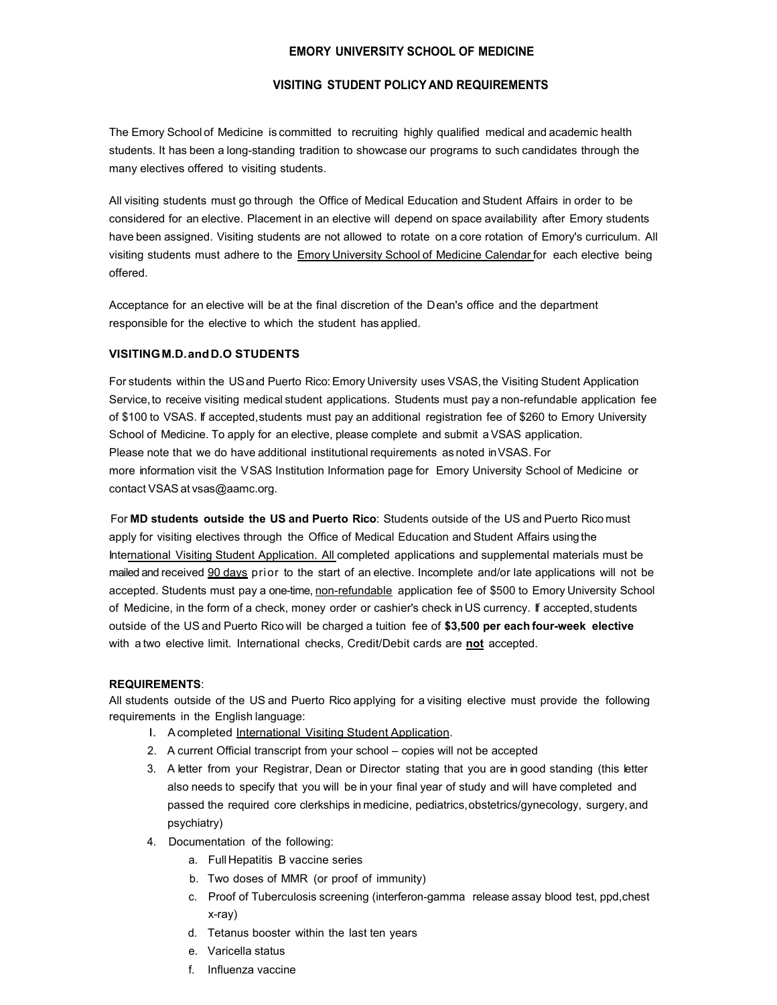### EMORY UNIVERSITY SCHOOL OF MEDICINE

# VISITING STUDENT POLICY AND REQUIREMENTS

The Emory School of Medicine is committed to recruiting highly qualified medical and academic health students. It has been a long-standing tradition to showcase our programs to such candidates through the many electives offered to visiting students.

All visiting students must go through the Office of Medical Education and Student Affairs in order to be considered for an elective. Placement in an elective will depend on space availability after Emory students have been assigned. Visiting students are not allowed to rotate on a core rotation of Emory's curriculum. All visiting students must adhere to the Emory University School of Medicine Calendar for each elective being offered.

Acceptance for an elective will be at the final discretion of the Dean's office and the department responsible for the elective to which the student has applied.

#### VISITING M.D. and D.O STUDENTS

For students within the US and Puerto Rico: Emory University uses VSAS, the Visiting Student Application Service, to receive visiting medical student applications. Students must pay a non-refundable application fee of \$100 to VSAS. If accepted, students must pay an additional registration fee of \$260 to Emory University School of Medicine. To apply for an elective, please complete and submit a VSAS application. Please note that we do have additional institutional requirements as noted in VSAS. For more information visit the VSAS Institution Information page for Emory University School of Medicine or contact VSAS at vsas@aamc.org.

For MD students outside the US and Puerto Rico: Students outside of the US and Puerto Rico must apply for visiting electives through the Office of Medical Education and Student Affairs using the International Visiting Student Application. All completed applications and supplemental materials must be mailed and received 90 days prior to the start of an elective. Incomplete and/or late applications will not be accepted. Students must pay a one-time, non-refundable application fee of \$500 to Emory University School of Medicine, in the form of a check, money order or cashier's check in US currency. If accepted, students outside of the US and Puerto Rico will be charged a tuition fee of \$3,500 per each four-week elective with a two elective limit. International checks, Credit/Debit cards are not accepted.

### REQUIREMENTS:

All students outside of the US and Puerto Rico applying for a visiting elective must provide the following requirements in the English language:

- I. A completed International Visiting Student Application.
- 2. A current Official transcript from your school copies will not be accepted
- 3. A letter from your Registrar, Dean or Director stating that you are in good standing (this letter also needs to specify that you will be in your final year of study and will have completed and passed the required core clerkships in medicine, pediatrics, obstetrics/gynecology, surgery, and psychiatry)
- 4. Documentation of the following:
	- a. Full Hepatitis B vaccine series
	- b. Two doses of MMR (or proof of immunity)
	- c. Proof of Tuberculosis screening (interferon-gamma release assay blood test, ppd,chest x-ray)
	- d. Tetanus booster within the last ten years
	- e. Varicella status
	- f. Influenza vaccine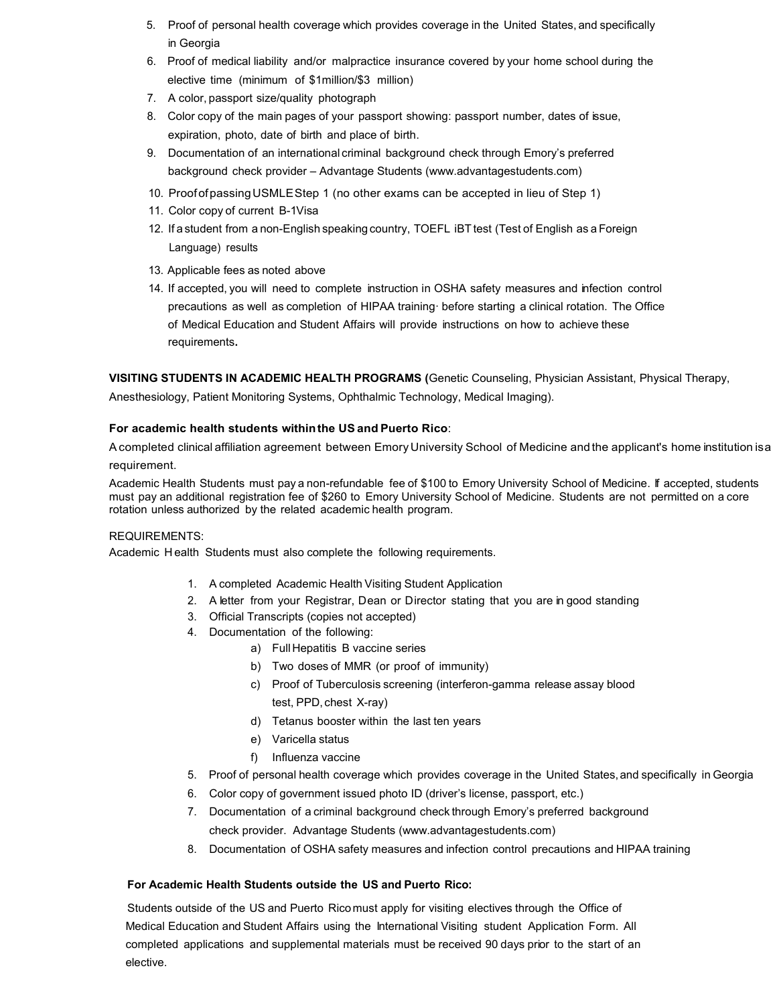- 5. Proof of personal health coverage which provides coverage in the United States, and specifically in Georgia
- 6. Proof of medical liability and/or malpractice insurance covered by your home school during the elective time (minimum of \$1million/\$3 million)
- 7. A color, passport size/quality photograph
- 8. Color copy of the main pages of your passport showing: passport number, dates of issue, expiration, photo, date of birth and place of birth.
- 9. Documentation of an international criminal background check through Emory's preferred background check provider – Advantage Students (www.advantagestudents.com)
- 10. Proof of passing USMLE Step 1 (no other exams can be accepted in lieu of Step 1)
- 11. Color copy of current B-1Visa
- 12. If a student from a non-English speaking country, TOEFL iBT test (Test of English as a Foreign Language) results
- 13. Applicable fees as noted above
- 14. If accepted, you will need to complete instruction in OSHA safety measures and infection control precautions as well as completion of HIPAA training· before starting a clinical rotation. The Office of Medical Education and Student Affairs will provide instructions on how to achieve these requirements.

VISITING STUDENTS IN ACADEMIC HEALTH PROGRAMS (Genetic Counseling, Physician Assistant, Physical Therapy, Anesthesiology, Patient Monitoring Systems, Ophthalmic Technology, Medical Imaging).

# For academic health students within the US and Puerto Rico:

A completed clinical affiliation agreement between Emory University School of Medicine and the applicant's home institution is a requirement.

Academic Health Students must pay a non-refundable fee of \$100 to Emory University School of Medicine. If accepted, students must pay an additional registration fee of \$260 to Emory University School of Medicine. Students are not permitted on a core rotation unless authorized by the related academic health program.

## REQUIREMENTS:

Academic H ealth Students must also complete the following requirements.

- 1. A completed Academic Health Visiting Student Application
- 2. A letter from your Registrar, Dean or Director stating that you are in good standing
- 3. Official Transcripts (copies not accepted)
- 4. Documentation of the following:
	- a) Full Hepatitis B vaccine series
	- b) Two doses of MMR (or proof of immunity)
	- c) Proof of Tuberculosis screening (interferon-gamma release assay blood test, PPD, chest X-ray)
	- d) Tetanus booster within the last ten years
	- e) Varicella status
	- f) Influenza vaccine
- 5. Proof of personal health coverage which provides coverage in the United States, and specifically in Georgia
- 6. Color copy of government issued photo ID (driver's license, passport, etc.)
- 7. Documentation of a criminal background check through Emory's preferred background check provider. Advantage Students (www.advantagestudents.com)
- 8. Documentation of OSHA safety measures and infection control precautions and HIPAA training

## For Academic Health Students outside the US and Puerto Rico:

Students outside of the US and Puerto Rico must apply for visiting electives through the Office of Medical Education and Student Affairs using the International Visiting student Application Form. All completed applications and supplemental materials must be received 90 days prior to the start of an elective.